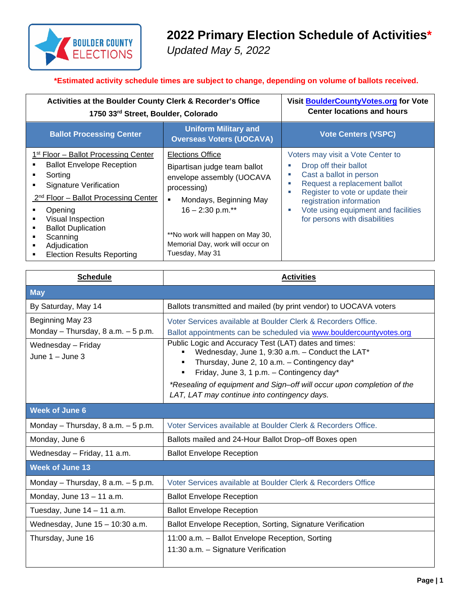

## **2022 Primary Election Schedule of Activities\***

*Updated May 5, 2022*

## **\*Estimated activity schedule times are subject to change, depending on volume of ballots received.**

| Activities at the Boulder County Clerk & Recorder's Office<br>1750 33rd Street, Boulder, Colorado                                                                                                                                                                                                                |                                                                                                                                                                                                                                                     | Visit BoulderCountyVotes.org for Vote<br><b>Center locations and hours</b>                                                                                                                                                                                                           |
|------------------------------------------------------------------------------------------------------------------------------------------------------------------------------------------------------------------------------------------------------------------------------------------------------------------|-----------------------------------------------------------------------------------------------------------------------------------------------------------------------------------------------------------------------------------------------------|--------------------------------------------------------------------------------------------------------------------------------------------------------------------------------------------------------------------------------------------------------------------------------------|
| <b>Ballot Processing Center</b>                                                                                                                                                                                                                                                                                  | <b>Uniform Military and</b><br><b>Overseas Voters (UOCAVA)</b>                                                                                                                                                                                      | <b>Vote Centers (VSPC)</b>                                                                                                                                                                                                                                                           |
| 1 <sup>st</sup> Floor – Ballot Processing Center<br><b>Ballot Envelope Reception</b><br>Sorting<br>Signature Verification<br>2 <sup>nd</sup> Floor - Ballot Processing Center<br>Opening<br>Visual Inspection<br><b>Ballot Duplication</b><br>Scanning<br>Adjudication<br><b>Election Results Reporting</b><br>٠ | <b>Elections Office</b><br>Bipartisan judge team ballot<br>envelope assembly (UOCAVA<br>processing)<br>Mondays, Beginning May<br>٠<br>$16 - 2:30$ p.m.**<br>**No work will happen on May 30,<br>Memorial Day, work will occur on<br>Tuesday, May 31 | Voters may visit a Vote Center to<br>Drop off their ballot<br>Cast a ballot in person<br>×.<br>Request a replacement ballot<br>×.<br>Register to vote or update their<br>п<br>registration information<br>Vote using equipment and facilities<br>×.<br>for persons with disabilities |

| <b>Schedule</b>                                           | <b>Activities</b>                                                                                                                                                                                     |  |
|-----------------------------------------------------------|-------------------------------------------------------------------------------------------------------------------------------------------------------------------------------------------------------|--|
| <b>May</b>                                                |                                                                                                                                                                                                       |  |
| By Saturday, May 14                                       | Ballots transmitted and mailed (by print vendor) to UOCAVA voters                                                                                                                                     |  |
| Beginning May 23<br>Monday - Thursday, $8$ a.m. $-5$ p.m. | Voter Services available at Boulder Clerk & Recorders Office.<br>Ballot appointments can be scheduled via www.bouldercountyvotes.org                                                                  |  |
| Wednesday - Friday<br>June $1 -$ June 3                   | Public Logic and Accuracy Test (LAT) dates and times:<br>Wednesday, June 1, 9:30 a.m. - Conduct the LAT*<br>Thursday, June 2, 10 a.m. - Contingency day*<br>Friday, June 3, 1 p.m. - Contingency day* |  |
|                                                           | *Resealing of equipment and Sign-off will occur upon completion of the<br>LAT, LAT may continue into contingency days.                                                                                |  |
| <b>Week of June 6</b>                                     |                                                                                                                                                                                                       |  |
| Monday - Thursday, $8$ a.m. $-5$ p.m.                     | Voter Services available at Boulder Clerk & Recorders Office.                                                                                                                                         |  |
| Monday, June 6                                            | Ballots mailed and 24-Hour Ballot Drop-off Boxes open                                                                                                                                                 |  |
| Wednesday - Friday, 11 a.m.                               | <b>Ballot Envelope Reception</b>                                                                                                                                                                      |  |
| <b>Week of June 13</b>                                    |                                                                                                                                                                                                       |  |
| Monday - Thursday, 8 a.m. - 5 p.m.                        | Voter Services available at Boulder Clerk & Recorders Office                                                                                                                                          |  |
| Monday, June $13 - 11$ a.m.                               | <b>Ballot Envelope Reception</b>                                                                                                                                                                      |  |
| Tuesday, June 14 - 11 a.m.                                | <b>Ballot Envelope Reception</b>                                                                                                                                                                      |  |
| Wednesday, June $15 - 10:30$ a.m.                         | Ballot Envelope Reception, Sorting, Signature Verification                                                                                                                                            |  |
| Thursday, June 16                                         | 11:00 a.m. - Ballot Envelope Reception, Sorting<br>11:30 a.m. - Signature Verification                                                                                                                |  |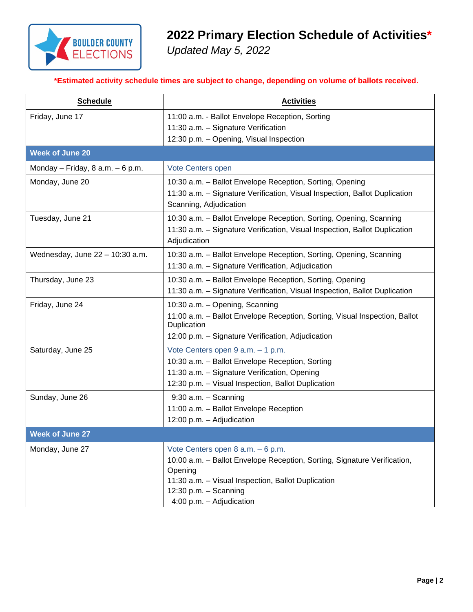

## **2022 Primary Election Schedule of Activities\***

*Updated May 5, 2022*

**\*Estimated activity schedule times are subject to change, depending on volume of ballots received.**

| <b>Schedule</b>                   | <b>Activities</b>                                                                                                                                                                                                                   |  |
|-----------------------------------|-------------------------------------------------------------------------------------------------------------------------------------------------------------------------------------------------------------------------------------|--|
| Friday, June 17                   | 11:00 a.m. - Ballot Envelope Reception, Sorting<br>11:30 a.m. - Signature Verification<br>12:30 p.m. - Opening, Visual Inspection                                                                                                   |  |
| <b>Week of June 20</b>            |                                                                                                                                                                                                                                     |  |
| Monday – Friday, 8 a.m. – 6 p.m.  | Vote Centers open                                                                                                                                                                                                                   |  |
| Monday, June 20                   | 10:30 a.m. - Ballot Envelope Reception, Sorting, Opening<br>11:30 a.m. - Signature Verification, Visual Inspection, Ballot Duplication<br>Scanning, Adjudication                                                                    |  |
| Tuesday, June 21                  | 10:30 a.m. - Ballot Envelope Reception, Sorting, Opening, Scanning<br>11:30 a.m. - Signature Verification, Visual Inspection, Ballot Duplication<br>Adjudication                                                                    |  |
| Wednesday, June $22 - 10:30$ a.m. | 10:30 a.m. - Ballot Envelope Reception, Sorting, Opening, Scanning<br>11:30 a.m. - Signature Verification, Adjudication                                                                                                             |  |
| Thursday, June 23                 | 10:30 a.m. - Ballot Envelope Reception, Sorting, Opening<br>11:30 a.m. - Signature Verification, Visual Inspection, Ballot Duplication                                                                                              |  |
| Friday, June 24                   | 10:30 a.m. - Opening, Scanning<br>11:00 a.m. - Ballot Envelope Reception, Sorting, Visual Inspection, Ballot<br>Duplication<br>12:00 p.m. - Signature Verification, Adjudication                                                    |  |
| Saturday, June 25                 | Vote Centers open 9 a.m. - 1 p.m.<br>10:30 a.m. - Ballot Envelope Reception, Sorting<br>11:30 a.m. - Signature Verification, Opening<br>12:30 p.m. - Visual Inspection, Ballot Duplication                                          |  |
| Sunday, June 26                   | $9:30$ a.m. $-$ Scanning<br>11:00 a.m. - Ballot Envelope Reception<br>12:00 p.m. - Adjudication                                                                                                                                     |  |
| <b>Week of June 27</b>            |                                                                                                                                                                                                                                     |  |
| Monday, June 27                   | Vote Centers open 8 a.m. - 6 p.m.<br>10:00 a.m. - Ballot Envelope Reception, Sorting, Signature Verification,<br>Opening<br>11:30 a.m. - Visual Inspection, Ballot Duplication<br>12:30 p.m. - Scanning<br>4:00 p.m. - Adjudication |  |